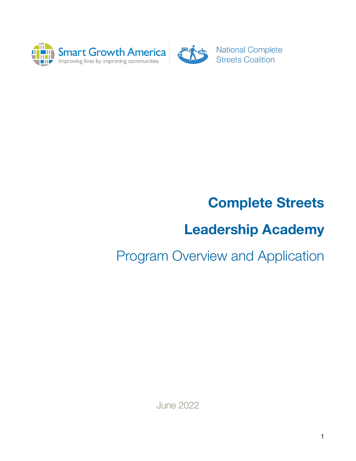



**National Complete Streets Coalition** 

# **Complete Streets**

# **Leadership Academy**

# Program Overview and Application

June 2022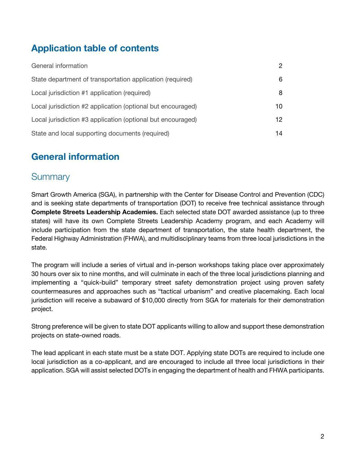# **Application table of contents**

| General information                                         | $\mathcal{P}$ |
|-------------------------------------------------------------|---------------|
| State department of transportation application (required)   | 6             |
| Local jurisdiction #1 application (required)                | 8             |
| Local jurisdiction #2 application (optional but encouraged) | 10            |
| Local jurisdiction #3 application (optional but encouraged) | 12            |
| State and local supporting documents (required)             | 14            |

### **General information**

#### **Summary**

Smart Growth America (SGA), in partnership with the Center for Disease Control and Prevention (CDC) and is seeking state departments of transportation (DOT) to receive free technical assistance through **Complete Streets Leadership Academies.** Each selected state DOT awarded assistance (up to three states) will have its own Complete Streets Leadership Academy program, and each Academy will include participation from the state department of transportation, the state health department, the Federal Highway Administration (FHWA), and multidisciplinary teams from three local jurisdictions in the state.

The program will include a series of virtual and in-person workshops taking place over approximately 30 hours over six to nine months, and will culminate in each of the three local jurisdictions planning and implementing a "quick-build" temporary street safety demonstration project using proven safety countermeasures and approaches such as "tactical urbanism" and creative placemaking. Each local jurisdiction will receive a subaward of \$10,000 directly from SGA for materials for their demonstration project.

Strong preference will be given to state DOT applicants willing to allow and support these demonstration projects on state-owned roads.

The lead applicant in each state must be a state DOT. Applying state DOTs are required to include one local jurisdiction as a co-applicant, and are encouraged to include all three local jurisdictions in their application. SGA will assist selected DOTs in engaging the department of health and FHWA participants.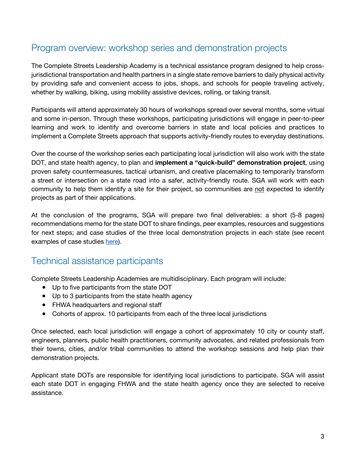### Program overview: workshop series and demonstration projects

The Complete Streets Leadership Academy is a technical assistance program designed to help crossjurisdictional transportation and health partners in a single state remove barriers to daily physical activity by providing safe and convenient access to jobs, shops, and schools for people traveling actively, whether by walking, biking, using mobility assistive devices, rolling, or taking transit.

Participants will attend approximately 30 hours of workshops spread over several months, some virtual and some in-person. Through these workshops, participating jurisdictions will engage in peer-to-peer learning and work to identify and overcome barriers in state and local policies and practices to implement a Complete Streets approach that supports activity-friendly routes to everyday destinations.

Over the course of the workshop series each participating local jurisdiction will also work with the state DOT, and state health agency, to plan and **implement a "quick-build" demonstration project**, using proven safety countermeasures, tactical urbanism, and creative placemaking to temporarily transform a street or intersection on a state road into a safer, activity-friendly route. SGA will work with each community to help them identify a site for their project, so communities are not expected to identify projects as part of their applications.

At the conclusion of the programs, SGA will prepare two final deliverables: a short (5-8 pages) recommendations memo for the state DOT to share findings, peer examples, resources and suggestions for next steps; and case studies of the three local demonstration projects in each state (see recent examples of case studies here).

#### Technical assistance participants

Complete Streets Leadership Academies are multidisciplinary. Each program will include:

- Up to five participants from the state DOT
- Up to 3 participants from the state health agency
- FHWA headquarters and regional staff
- Cohorts of approx. 10 participants from each of the three local jurisdictions

Once selected, each local jurisdiction will engage a cohort of approximately 10 city or county staff, engineers, planners, public health practitioners, community advocates, and related professionals from their towns, cities, and/or tribal communities to attend the workshop sessions and help plan their demonstration projects.

Applicant state DOTs are responsible for identifying local jurisdictions to participate. SGA will assist each state DOT in engaging FHWA and the state health agency once they are selected to receive assistance.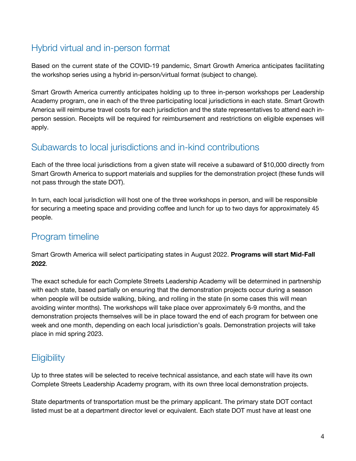# Hybrid virtual and in-person format

Based on the current state of the COVID-19 pandemic, Smart Growth America anticipates facilitating the workshop series using a hybrid in-person/virtual format (subject to change).

Smart Growth America currently anticipates holding up to three in-person workshops per Leadership Academy program, one in each of the three participating local jurisdictions in each state. Smart Growth America will reimburse travel costs for each jurisdiction and the state representatives to attend each inperson session. Receipts will be required for reimbursement and restrictions on eligible expenses will apply.

#### Subawards to local jurisdictions and in-kind contributions

Each of the three local jurisdictions from a given state will receive a subaward of \$10,000 directly from Smart Growth America to support materials and supplies for the demonstration project (these funds will not pass through the state DOT).

In turn, each local jurisdiction will host one of the three workshops in person, and will be responsible for securing a meeting space and providing coffee and lunch for up to two days for approximately 45 people.

#### Program timeline

Smart Growth America will select participating states in August 2022. **Programs will start Mid-Fall 2022**.

The exact schedule for each Complete Streets Leadership Academy will be determined in partnership with each state, based partially on ensuring that the demonstration projects occur during a season when people will be outside walking, biking, and rolling in the state (in some cases this will mean avoiding winter months). The workshops will take place over approximately 6-9 months, and the demonstration projects themselves will be in place toward the end of each program for between one week and one month, depending on each local jurisdiction's goals. Demonstration projects will take place in mid spring 2023.

# **Eligibility**

Up to three states will be selected to receive technical assistance, and each state will have its own Complete Streets Leadership Academy program, with its own three local demonstration projects.

State departments of transportation must be the primary applicant. The primary state DOT contact listed must be at a department director level or equivalent. Each state DOT must have at least one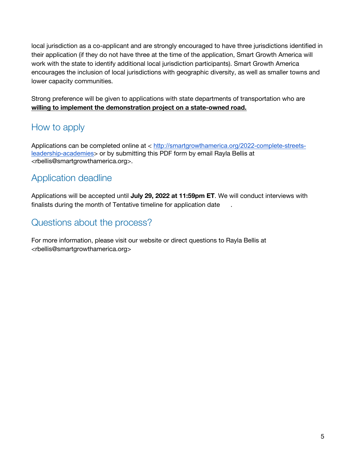local jurisdiction as a co-applicant and are strongly encouraged to have three jurisdictions identified in their application (if they do not have three at the time of the application, Smart Growth America will work with the state to identify additional local jurisdiction participants). Smart Growth America encourages the inclusion of local jurisdictions with geographic diversity, as well as smaller towns and lower capacity communities.

Strong preference will be given to applications with state departments of transportation who are **willing to implement the demonstration project on a state-owned road.**

# How to apply

Applications can be completed online at < http://smartgrowthamerica.org/2022-complete-streetsleadership-academies> or by submitting this PDF form by email Rayla Bellis at <rbellis@smartgrowthamerica.org>.

### Application deadline

Applications will be accepted until **July 29, 2022 at 11:59pm ET**. We will conduct interviews with finalists during the month of Tentative timeline for application date .

#### Questions about the process?

For more information, please visit our website or direct questions to Rayla Bellis at <rbellis@smartgrowthamerica.org>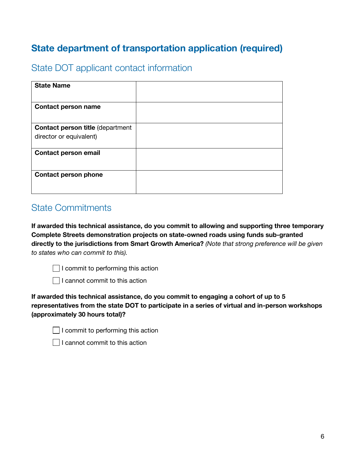# **State department of transportation application (required)**

#### State DOT applicant contact information

| <b>State Name</b>                                                  |  |
|--------------------------------------------------------------------|--|
| <b>Contact person name</b>                                         |  |
| <b>Contact person title (department</b><br>director or equivalent) |  |
| <b>Contact person email</b>                                        |  |
| <b>Contact person phone</b>                                        |  |

#### State Commitments

**If awarded this technical assistance, do you commit to allowing and supporting three temporary Complete Streets demonstration projects on state-owned roads using funds sub-granted directly to the jurisdictions from Smart Growth America?** *(Note that strong preference will be given to states who can commit to this).* 

 $\Box$  I commit to performing this action

 $\Box$  I cannot commit to this action

**If awarded this technical assistance, do you commit to engaging a cohort of up to 5 representatives from the state DOT to participate in a series of virtual and in-person workshops (approximately 30 hours total)?**

 $\Box$  I cannot commit to this action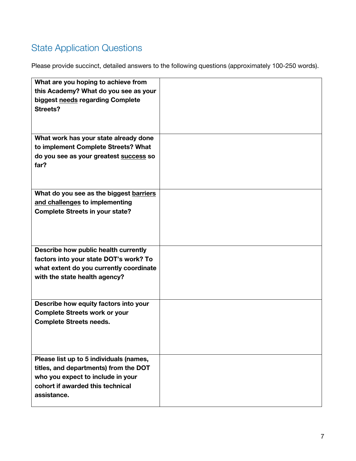# State Application Questions

| What are you hoping to achieve from<br>this Academy? What do you see as your<br>biggest needs regarding Complete<br><b>Streets?</b>                                      |  |
|--------------------------------------------------------------------------------------------------------------------------------------------------------------------------|--|
| What work has your state already done<br>to implement Complete Streets? What<br>do you see as your greatest success so<br>far?                                           |  |
| What do you see as the biggest barriers<br>and challenges to implementing<br><b>Complete Streets in your state?</b>                                                      |  |
| Describe how public health currently<br>factors into your state DOT's work? To<br>what extent do you currently coordinate<br>with the state health agency?               |  |
| Describe how equity factors into your<br><b>Complete Streets work or your</b><br><b>Complete Streets needs.</b>                                                          |  |
| Please list up to 5 individuals (names,<br>titles, and departments) from the DOT<br>who you expect to include in your<br>cohort if awarded this technical<br>assistance. |  |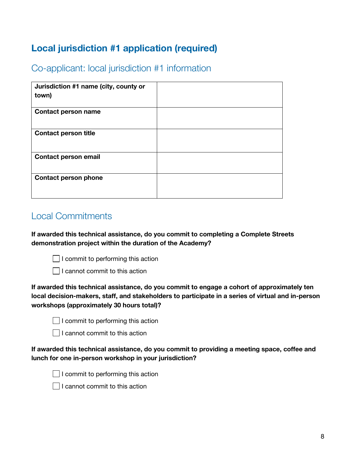# **Local jurisdiction #1 application (required)**

Co-applicant: local jurisdiction #1 information

| Jurisdiction #1 name (city, county or<br>town) |  |
|------------------------------------------------|--|
| <b>Contact person name</b>                     |  |
| <b>Contact person title</b>                    |  |
| <b>Contact person email</b>                    |  |
| <b>Contact person phone</b>                    |  |

#### Local Commitments

**If awarded this technical assistance, do you commit to completing a Complete Streets demonstration project within the duration of the Academy?**



 $\Box$  I cannot commit to this action

**If awarded this technical assistance, do you commit to engage a cohort of approximately ten local decision-makers, staff, and stakeholders to participate in a series of virtual and in-person workshops (approximately 30 hours total)?**

| $\Box$ I commit to performing this action |
|-------------------------------------------|
|-------------------------------------------|



**If awarded this technical assistance, do you commit to providing a meeting space, coffee and lunch for one in-person workshop in your jurisdiction?**



 $\Box$  I commit to performing this action

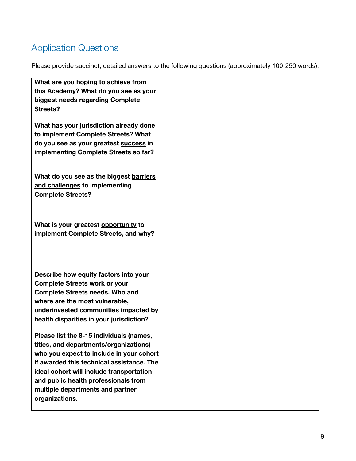# Application Questions

| What are you hoping to achieve from<br>this Academy? What do you see as your<br>biggest needs regarding Complete<br>Streets?<br>What has your jurisdiction already done<br>to implement Complete Streets? What<br>do you see as your greatest success in<br>implementing Complete Streets so far?                     |  |
|-----------------------------------------------------------------------------------------------------------------------------------------------------------------------------------------------------------------------------------------------------------------------------------------------------------------------|--|
| What do you see as the biggest barriers<br>and challenges to implementing<br><b>Complete Streets?</b>                                                                                                                                                                                                                 |  |
| What is your greatest opportunity to<br>implement Complete Streets, and why?                                                                                                                                                                                                                                          |  |
| Describe how equity factors into your<br><b>Complete Streets work or your</b><br><b>Complete Streets needs. Who and</b><br>where are the most vulnerable,<br>underinvested communities impacted by<br>health disparities in your jurisdiction?                                                                        |  |
| Please list the 8-15 individuals (names,<br>titles, and departments/organizations)<br>who you expect to include in your cohort<br>if awarded this technical assistance. The<br>ideal cohort will include transportation<br>and public health professionals from<br>multiple departments and partner<br>organizations. |  |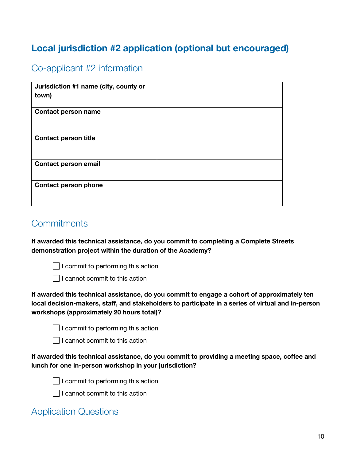# **Local jurisdiction #2 application (optional but encouraged)**

#### Co-applicant #2 information

| Jurisdiction #1 name (city, county or<br>town) |  |
|------------------------------------------------|--|
| <b>Contact person name</b>                     |  |
| <b>Contact person title</b>                    |  |
| <b>Contact person email</b>                    |  |
| <b>Contact person phone</b>                    |  |

#### **Commitments**

**If awarded this technical assistance, do you commit to completing a Complete Streets demonstration project within the duration of the Academy?**



 $\Box$  I commit to performing this action



**If awarded this technical assistance, do you commit to engage a cohort of approximately ten local decision-makers, staff, and stakeholders to participate in a series of virtual and in-person workshops (approximately 20 hours total)?**

|  |  | $\Box$ I commit to performing this action |  |
|--|--|-------------------------------------------|--|
|--|--|-------------------------------------------|--|

 $\Box$  I cannot commit to this action

**If awarded this technical assistance, do you commit to providing a meeting space, coffee and lunch for one in-person workshop in your jurisdiction?**



 $\Box$  I commit to performing this action



 $\Box$  I cannot commit to this action

### Application Questions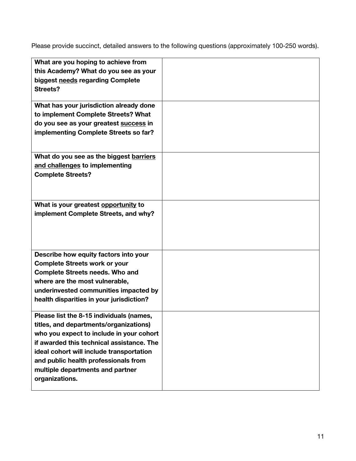| What are you hoping to achieve from                                              |  |
|----------------------------------------------------------------------------------|--|
| this Academy? What do you see as your                                            |  |
| biggest needs regarding Complete<br>Streets?                                     |  |
|                                                                                  |  |
| What has your jurisdiction already done                                          |  |
| to implement Complete Streets? What                                              |  |
| do you see as your greatest success in                                           |  |
| implementing Complete Streets so far?                                            |  |
|                                                                                  |  |
| What do you see as the biggest barriers<br>and challenges to implementing        |  |
| <b>Complete Streets?</b>                                                         |  |
|                                                                                  |  |
|                                                                                  |  |
| What is your greatest opportunity to                                             |  |
| implement Complete Streets, and why?                                             |  |
|                                                                                  |  |
|                                                                                  |  |
|                                                                                  |  |
| Describe how equity factors into your<br><b>Complete Streets work or your</b>    |  |
| <b>Complete Streets needs. Who and</b>                                           |  |
| where are the most vulnerable,                                                   |  |
| underinvested communities impacted by                                            |  |
| health disparities in your jurisdiction?                                         |  |
| Please list the 8-15 individuals (names                                          |  |
| titles, and departments/organizations)                                           |  |
| who you expect to include in your cohort                                         |  |
| if awarded this technical assistance. The                                        |  |
| ideal cohort will include transportation<br>and public health professionals from |  |
| multiple departments and partner                                                 |  |
| organizations.                                                                   |  |
|                                                                                  |  |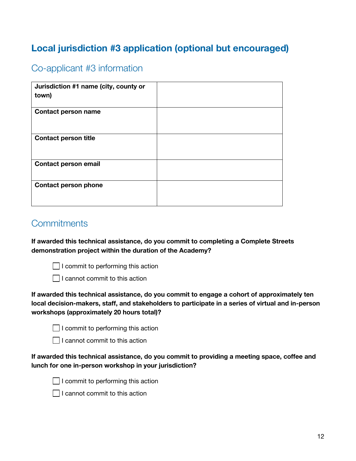# **Local jurisdiction #3 application (optional but encouraged)**

#### Co-applicant #3 information

| Jurisdiction #1 name (city, county or<br>town) |  |
|------------------------------------------------|--|
| <b>Contact person name</b>                     |  |
| <b>Contact person title</b>                    |  |
| <b>Contact person email</b>                    |  |
| <b>Contact person phone</b>                    |  |

#### **Commitments**

**If awarded this technical assistance, do you commit to completing a Complete Streets demonstration project within the duration of the Academy?**



 $\Box$  I commit to performing this action



**If awarded this technical assistance, do you commit to engage a cohort of approximately ten local decision-makers, staff, and stakeholders to participate in a series of virtual and in-person workshops (approximately 20 hours total)?**

|  |  | $\Box$ I commit to performing this action |  |
|--|--|-------------------------------------------|--|
|--|--|-------------------------------------------|--|

 $\Box$  I cannot commit to this action

**If awarded this technical assistance, do you commit to providing a meeting space, coffee and lunch for one in-person workshop in your jurisdiction?**



 $\Box$  I commit to performing this action



 $\Box$  I cannot commit to this action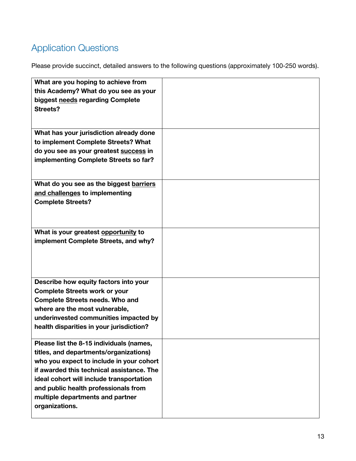# Application Questions

| What are you hoping to achieve from<br>this Academy? What do you see as your<br>biggest needs regarding Complete<br>Streets?                                                                                                                                                                                          |  |
|-----------------------------------------------------------------------------------------------------------------------------------------------------------------------------------------------------------------------------------------------------------------------------------------------------------------------|--|
| What has your jurisdiction already done<br>to implement Complete Streets? What<br>do you see as your greatest success in<br>implementing Complete Streets so far?                                                                                                                                                     |  |
| What do you see as the biggest barriers<br>and challenges to implementing<br><b>Complete Streets?</b>                                                                                                                                                                                                                 |  |
| What is your greatest opportunity to<br>implement Complete Streets, and why?                                                                                                                                                                                                                                          |  |
| Describe how equity factors into your<br><b>Complete Streets work or your</b><br><b>Complete Streets needs. Who and</b><br>where are the most vulnerable,<br>underinvested communities impacted by<br>health disparities in your jurisdiction?                                                                        |  |
| Please list the 8-15 individuals (names,<br>titles, and departments/organizations)<br>who you expect to include in your cohort<br>if awarded this technical assistance. The<br>ideal cohort will include transportation<br>and public health professionals from<br>multiple departments and partner<br>organizations. |  |